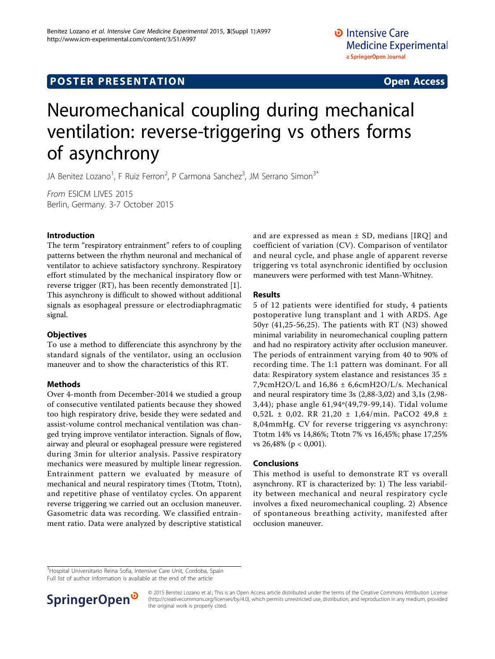# **POSTER PRESENTATION CONSUMING ACCESS**

# Neuromechanical coupling during mechanical ventilation: reverse-triggering vs others forms

JA Benitez Lozano<sup>1</sup>, F Ruiz Ferron<sup>2</sup>, P Carmona Sanchez<sup>3</sup>, JM Serrano Simon<sup>3\*</sup>

From ESICM LIVES 2015 Berlin, Germany. 3-7 October 2015

of asynchrony

## Introduction

The term "respiratory entrainment" refers to of coupling patterns between the rhythm neuronal and mechanical of ventilator to achieve satisfactory synchrony. Respiratory effort stimulated by the mechanical inspiratory flow or reverse trigger (RT), has been recently demonstrated [\[1](#page-1-0)]. This asynchrony is difficult to showed without additional signals as esophageal pressure or electrodiaphragmatic signal.

#### **Objectives**

To use a method to differenciate this asynchrony by the standard signals of the ventilator, using an occlusion maneuver and to show the characteristics of this RT.

#### Methods

Over 4-month from December-2014 we studied a group of consecutive ventilated patients because they showed too high respiratory drive, beside they were sedated and assist-volume control mechanical ventilation was changed trying improve ventilator interaction. Signals of flow, airway and pleural or esophageal pressure were registered during 3min for ulterior analysis. Passive respiratory mechanics were measured by multiple linear regression. Entrainment pattern we evaluated by measure of mechanical and neural respiratory times (Ttotm, Ttotn), and repetitive phase of ventilatoy cycles. On apparent reverse triggering we carried out an occlusion maneuver. Gasometric data was recording. We classified entrainment ratio. Data were analyzed by descriptive statistical

and are expressed as mean  $\pm$  SD, medians [IRQ] and coefficient of variation (CV). Comparison of ventilator and neural cycle, and phase angle of apparent reverse triggering vs total asynchronic identified by occlusion maneuvers were performed with test Mann-Whitney.

## Results

5 of 12 patients were identified for study, 4 patients postoperative lung transplant and 1 with ARDS. Age 50yr (41,25-56,25). The patients with RT (N3) showed minimal variability in neuromechanical coupling pattern and had no respiratory activity after occlusion maneuver. The periods of entrainment varying from 40 to 90% of recording time. The 1:1 pattern was dominant. For all data: Respiratory system elastance and resistances 35 ± 7,9cmH2O/L and 16,86 ± 6,6cmH2O/L/s. Mechanical and neural respiratory time 3s (2,88-3,02) and 3,1s (2,98- 3,44); phase angle 61,94º(49,79-99,14). Tidal volume 0,52L ± 0,02. RR 21,20 ± 1,64/min. PaCO2 49,8 ± 8,04mmHg. CV for reverse triggering vs asynchrony: Ttotm 14% vs 14,86%; Ttotn 7% vs 16,45%; phase 17,25% vs 26,48% (p < 0,001).

## Conclusions

This method is useful to demonstrate RT vs overall asynchrony. RT is characterized by: 1) The less variability between mechanical and neural respiratory cycle involves a fixed neuromechanical coupling. 2) Absence of spontaneous breathing activity, manifested after occlusion maneuver.

Full list of author information is available at the end of the article



<sup>© 2015</sup> Benitez Lozano et al.; This is an Open Access article distributed under the terms of the Creative Commons Attribution License [\(http://creativecommons.org/licenses/by/4.0](http://creativecommons.org/licenses/by/4.0)), which permits unrestricted use, distribution, and reproduction in any medium, provided the original work is properly cited.

<sup>&</sup>lt;sup>3</sup>Hospital Universitario Reina Sofia, Intensive Care Unit, Cordoba, Spain